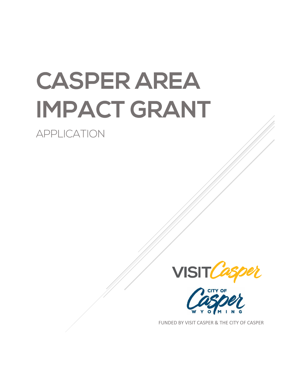# **CASPER AREA IMPACT GRANT**

**APPLICATION** 





FUNDED BY VISIT CASPER & THE CITY OF CASPER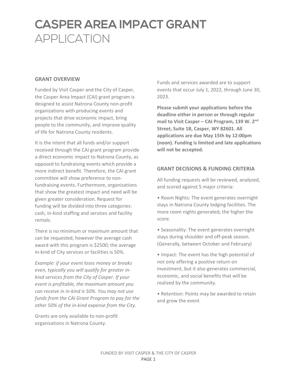#### **GRANT OVERVIEW**

Funded by Visit Casper and the City of Casper, the Casper Area Impact (CAI) grant program is designed to assist Natrona County non-profit organizations with producing events and projects that drive economic impact, bring people to the community, and improve quality of life for Natrona County residents.

It is the intent that all funds and/or support received through the CAI grant program provide a direct economic impact to Natrona County, as opposed to fundraising events which provide a more indirect benefit. Therefore, the CAI grant committee will show preference to nonfundraising events. Furthermore, organizations that show the greatest impact and need will be given greater consideration. Request for funding will be divided into three categories: cash, in-kind staffing and services and facility rentals.

There is no minimum or maximum amount that can be requested, however the average cash award with this program is \$2500; the average in-kind of City services or facilities is 50%.

*Example: if your event loses money or breaks even, typically you will qualify for greater inkind services from the City of Casper. If your event is profitable, the maximum amount you can receive in in-kind is 50%. You may not use funds from the CAI Grant Program to pay for the other 50% of the in-kind expense from the City.* 

Grants are only available to non-profit organizations in Natrona County.

Funds and services awarded are to support events that occur July 1, 2022, through June 30, 2023.

**Please submit your applications before the deadline either in person or through regular mail to Visit Casper – CAI Program, 139 W. 2nd Street, Suite 1B, Casper, WY 82601. All applications are due May 15th by 12:00pm (noon). Funding is limited and late applications will not be accepted.** 

#### **GRANT DECISIONS & FUNDING CRITERIA**

All funding requests will be reviewed, analyzed, and scored against 5 major criteria:

• Room Nights: The event generates overnight stays in Natrona County lodging facilities. The more room nights generated, the higher the score.

• Seasonality: The event generates overnight stays during shoulder and off-peak season. (Generally, between October and February)

• Impact: The event has the high potential of not only offering a positive return on investment, but it also generates commercial, economic, and social benefits that will be realized by the community.

• Retention: Points may be awarded to retain and grow the event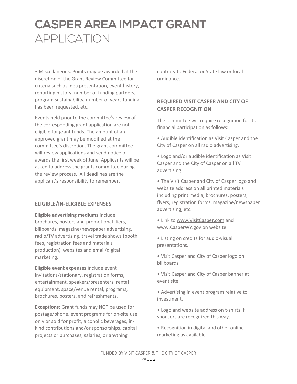• Miscellaneous: Points may be awarded at the discretion of the Grant Review Committee for criteria such as idea presentation, event history, reporting history, number of funding partners, program sustainability, number of years funding has been requested, etc.

Events held prior to the committee's review of the corresponding grant application are not eligible for grant funds. The amount of an approved grant may be modified at the committee's discretion. The grant committee will review applications and send notice of awards the first week of June. Applicants will be asked to address the grants committee during the review process. All deadlines are the applicant's responsibility to remember.

#### **ELIGIBLE/IN-ELIGIBLE EXPENSES**

**Eligible advertising mediums** include brochures, posters and promotional fliers, billboards, magazine/newspaper advertising, radio/TV advertising, travel trade shows (booth fees, registration fees and materials production), websites and email/digital marketing.

**Eligible event expenses** include event invitations/stationary, registration forms, entertainment, speakers/presenters, rental equipment, space/venue rental, programs, brochures, posters, and refreshments.

**Exceptions:** Grant funds may NOT be used for postage/phone, event programs for on-site use only or sold for profit, alcoholic beverages, inkind contributions and/or sponsorships, capital projects or purchases, salaries, or anything

contrary to Federal or State law or local ordinance.

#### **REQUIRED VISIT CASPER AND CITY OF CASPER RECOGNITION**

The committee will require recognition for its financial participation as follows:

• Audible identification as Visit Casper and the City of Casper on all radio advertising.

• Logo and/or audible identification as Visit Casper and the City of Casper on all TV advertising.

• The Visit Casper and City of Casper logo and website address on all printed materials including print media, brochures, posters, flyers, registration forms, magazine/newspaper advertising, etc.

• Link to [www.VisitCasper.com](http://www.visitcasper.com/) and [www.CasperWY.gov](http://www.casperwy.gov/) on website.

• Listing on credits for audio-visual presentations.

• Visit Casper and City of Casper logo on billboards.

• Visit Casper and City of Casper banner at event site.

• Advertising in event program relative to investment.

• Logo and website address on t-shirts if sponsors are recognized this way.

• Recognition in digital and other online marketing as available.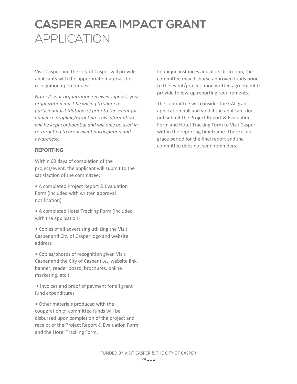Visit Casper and the City of Casper will provide applicants with the appropriate materials for recognition upon request.

*Note: If your organization receives support, your organization must be willing to share a participant list (database) prior to the event for audience profiling/targeting. This information will be kept confidential and will only be used in re-targeting to grow event participation and awareness.*

#### **REPORTING**

Within 60 days of completion of the project/event, the applicant will submit to the satisfaction of the committee:

• A completed Project Report & Evaluation Form (included with written approval notification)

• A completed Hotel Tracking Form (included with the application)

• Copies of all advertising utilizing the Visit Casper and City of Casper logo and website address

• Copies/photos of recognition given Visit Casper and the City of Casper (i.e., website link, banner, reader board, brochures, online marketing, etc.)

• Invoices and proof of payment for all grant fund expenditures

• Other materials produced with the cooperation of committee funds will be disbursed upon completion of the project and receipt of the Project Report & Evaluation Form and the Hotel Tracking Form.

In unique instances and at its discretion, the committee may disburse approved funds prior to the event/project upon written agreement to provide follow-up reporting requirements.

The committee will consider the CAI grant application null and void if the applicant does not submit the Project Report & Evaluation Form and Hotel Tracking Form to Visit Casper within the reporting timeframe. There is no grace period for the final report and the committee does not send reminders.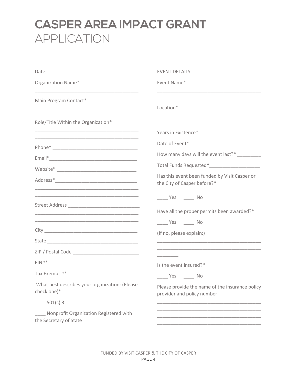|                                                                                                                       | <b>EVENT DETAILS</b>                                                                                                                               |
|-----------------------------------------------------------------------------------------------------------------------|----------------------------------------------------------------------------------------------------------------------------------------------------|
|                                                                                                                       |                                                                                                                                                    |
| Main Program Contact* ____________________                                                                            | <u> 1990 - Johann John Stone, markin film yn y system yn y system yn y system yn y system yn y system yn y system</u>                              |
| Role/Title Within the Organization*                                                                                   | <u> 1989 - Johann Stein, mars et al. (1989)</u>                                                                                                    |
| <u> 1989 - Johann Stoff, amerikansk politiker (d. 1989)</u>                                                           |                                                                                                                                                    |
|                                                                                                                       |                                                                                                                                                    |
|                                                                                                                       | How many days will the event last?* _________                                                                                                      |
|                                                                                                                       |                                                                                                                                                    |
| <u> 1989 - Johann John Stein, markin fan it ferskearre fan it ferskearre fan it ferskearre fan it ferskearre fan </u> | Has this event been funded by Visit Casper or<br>the City of Casper before?*                                                                       |
|                                                                                                                       | $\rule{1em}{0.15mm}$ Yes $\rule{1em}{0.15mm}$ No<br>Have all the proper permits been awarded?*                                                     |
|                                                                                                                       | $Yes$ No                                                                                                                                           |
|                                                                                                                       | (If no, please explain:)<br><u> 1989 - Johann John Harry Harry Harry Harry Harry Harry Harry Harry Harry Harry Harry Harry Harry Harry Harry H</u> |
|                                                                                                                       | <u> 1989 - Johann John Harry Harry Harry Harry Harry Harry Harry Harry Harry Harry Harry Harry Harry Harry Harry H</u>                             |
|                                                                                                                       | Is the event insured?*                                                                                                                             |
|                                                                                                                       | $Yes$ No                                                                                                                                           |
| What best describes your organization: (Please<br>check one)*                                                         | Please provide the name of the insurance policy<br>provider and policy number                                                                      |
| $501(c)$ 3                                                                                                            |                                                                                                                                                    |
| Nonprofit Organization Registered with<br>the Secretary of State                                                      |                                                                                                                                                    |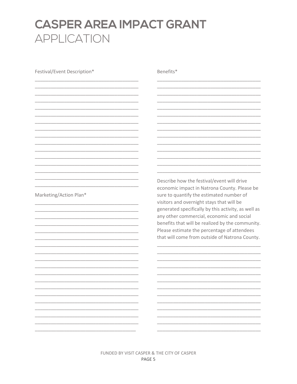Festival/Event Description\* Benefits\* Describe how the festival/event will drive economic impact in Natrona County. Please be Marketing/Action Plan\* sure to quantify the estimated number of visitors and overnight stays that will be generated specifically by this activity, as well as any other commercial, economic and social benefits that will be realized by the community. Please estimate the percentage of attendees that will come from outside of Natrona County.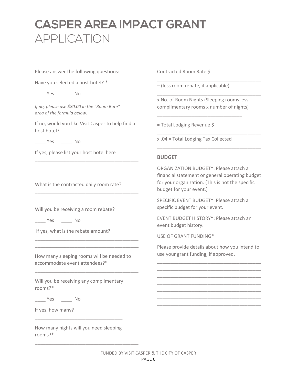Please answer the following questions:

Have you selected a host hotel? \*

\_\_\_\_ Yes \_\_\_\_ No

*If no, please use \$80.00 in the "Room Rate" area of the formula below.*

If no, would you like Visit Casper to help find a host hotel?

\_\_\_\_\_\_\_\_\_\_\_\_\_\_\_\_\_\_\_\_\_\_\_\_\_\_\_\_\_\_\_\_\_\_\_\_\_\_\_ \_\_\_\_\_\_\_\_\_\_\_\_\_\_\_\_\_\_\_\_\_\_\_\_\_\_\_\_\_\_\_\_\_\_\_\_\_\_\_

\_\_\_\_\_\_\_\_\_\_\_\_\_\_\_\_\_\_\_\_\_\_\_\_\_\_\_\_\_\_\_\_\_\_\_\_\_\_\_ \_\_\_\_\_\_\_\_\_\_\_\_\_\_\_\_\_\_\_\_\_\_\_\_\_\_\_\_\_\_\_\_\_\_\_\_\_\_\_

\_\_\_\_ Yes \_\_\_\_ No

If yes, please list your host hotel here

What is the contracted daily room rate?

Will you be receiving a room rebate?

\_\_\_\_ Yes \_\_\_\_ No

If yes, what is the rebate amount?

How many sleeping rooms will be needed to accommodate event attendees?\*

\_\_\_\_\_\_\_\_\_\_\_\_\_\_\_\_\_\_\_\_\_\_\_\_\_\_\_\_\_\_\_\_\_\_\_\_\_\_\_

\_\_\_\_\_\_\_\_\_\_\_\_\_\_\_\_\_\_\_\_\_\_\_\_\_\_\_\_\_\_\_\_\_\_\_\_\_\_\_ \_\_\_\_\_\_\_\_\_\_\_\_\_\_\_\_\_\_\_\_\_\_\_\_\_\_\_\_\_\_\_\_\_\_\_\_\_\_\_

Will you be receiving any complimentary rooms?\*

\_\_\_\_ Yes \_\_\_\_ No

If yes, how many?

How many nights will you need sleeping rooms?\*

\_\_\_\_\_\_\_\_\_\_\_\_\_\_\_\_\_\_\_\_\_\_\_\_\_\_\_\_\_\_\_\_\_\_\_\_\_\_\_

\_\_\_\_\_\_\_\_\_\_\_\_\_\_\_\_\_\_\_\_\_\_\_\_\_\_\_\_\_\_\_\_\_

Contracted Room Rate \$

– (less room rebate, if applicable)

x No. of Room Nights (Sleeping rooms less complimentary rooms x number of nights)

\_\_\_\_\_\_\_\_\_\_\_\_\_\_\_\_\_\_\_\_\_\_\_\_\_\_\_\_\_\_\_\_

\_\_\_\_\_\_\_\_\_\_\_\_\_\_\_\_\_\_\_\_\_\_\_\_\_\_\_\_\_\_\_\_\_\_\_\_\_\_\_

\_\_\_\_\_\_\_\_\_\_\_\_\_\_\_\_\_\_\_\_\_\_\_\_\_\_\_\_\_\_\_\_\_\_\_\_\_\_\_

\_\_\_\_\_\_\_\_\_\_\_\_\_\_\_\_\_\_\_\_\_\_\_\_\_\_\_\_\_\_\_\_\_\_\_\_\_\_\_

\_\_\_\_\_\_\_\_\_\_\_\_\_\_\_\_\_\_\_\_\_\_\_\_\_\_\_\_\_\_\_\_\_\_\_\_\_\_\_

= Total Lodging Revenue \$

x .04 = Total Lodging Tax Collected

#### **BUDGET**

ORGANIZATION BUDGET\*: Please attach a financial statement or general operating budget for your organization. (This is not the specific budget for your event.)

SPECIFIC EVENT BUDGET\*: Please attach a specific budget for your event.

EVENT BUDGET HISTORY\*: Please attach an event budget history.

USE OF GRANT FUNDING\*

Please provide details about how you intend to use your grant funding, if approved.

\_\_\_\_\_\_\_\_\_\_\_\_\_\_\_\_\_\_\_\_\_\_\_\_\_\_\_\_\_\_\_\_\_\_\_\_\_\_\_ \_\_\_\_\_\_\_\_\_\_\_\_\_\_\_\_\_\_\_\_\_\_\_\_\_\_\_\_\_\_\_\_\_\_\_\_\_\_\_ \_\_\_\_\_\_\_\_\_\_\_\_\_\_\_\_\_\_\_\_\_\_\_\_\_\_\_\_\_\_\_\_\_\_\_\_\_\_\_ \_\_\_\_\_\_\_\_\_\_\_\_\_\_\_\_\_\_\_\_\_\_\_\_\_\_\_\_\_\_\_\_\_\_\_\_\_\_\_ \_\_\_\_\_\_\_\_\_\_\_\_\_\_\_\_\_\_\_\_\_\_\_\_\_\_\_\_\_\_\_\_\_\_\_\_\_\_\_ \_\_\_\_\_\_\_\_\_\_\_\_\_\_\_\_\_\_\_\_\_\_\_\_\_\_\_\_\_\_\_\_\_\_\_\_\_\_\_ \_\_\_\_\_\_\_\_\_\_\_\_\_\_\_\_\_\_\_\_\_\_\_\_\_\_\_\_\_\_\_\_\_\_\_\_\_\_\_